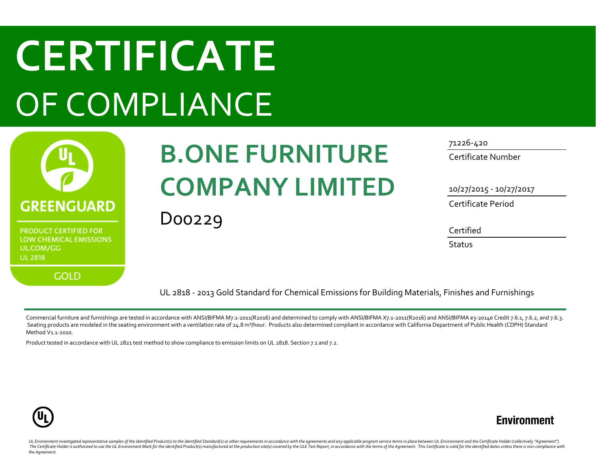# **CERTIFICATE** OF COMPLIANCE



LOW CHEMICAL EMISSIONS UL.COM/GG **UL 2818** 

**GOLD** 

## **B.ONE FURNITURE COMPANY LIMITED**

D00229

71226-420

Certificate Number

10/27/2015 - 10/27/2017

Certificate Period

Certified

**Status** 

UL 2818 - 2013 Gold Standard for Chemical Emissions for Building Materials, Finishes and Furnishings

Commercial furniture and furnishings are tested in accordance with ANSI/BIFMA M7.1-2011(R2016) and determined to comply with ANSI/BIFMA X7.1-2011(R2016) and ANSI/BIFMA e3-2014e Credit 7.6.1, 7.6.2, and 7.6.3. Seating products are modeled in the seating environment with a ventilation rate of 24.8 m<sup>3</sup>/hour. Products also determined compliant in accordance with California Department of Public Health (CDPH) Standard Method V1.1-2010.

Product tested in accordance with UL 2821 test method to show compliance to emission limits on UL 2818. Section 7.1 and 7.2.



### **Environment**

UL Environment investigated representative samples of the identified Product(s) to the identified Standard(s) or other requirements in accordance with the agreements and any applicable program service terms in place betwee The Certificate Holder is authorized to use the UL Environment Mark for the identified Product(s) manufactured at the production site(s) covered by the ULE Test Report, in accordance with the terms of the Agreement. This C *the Agreement.*